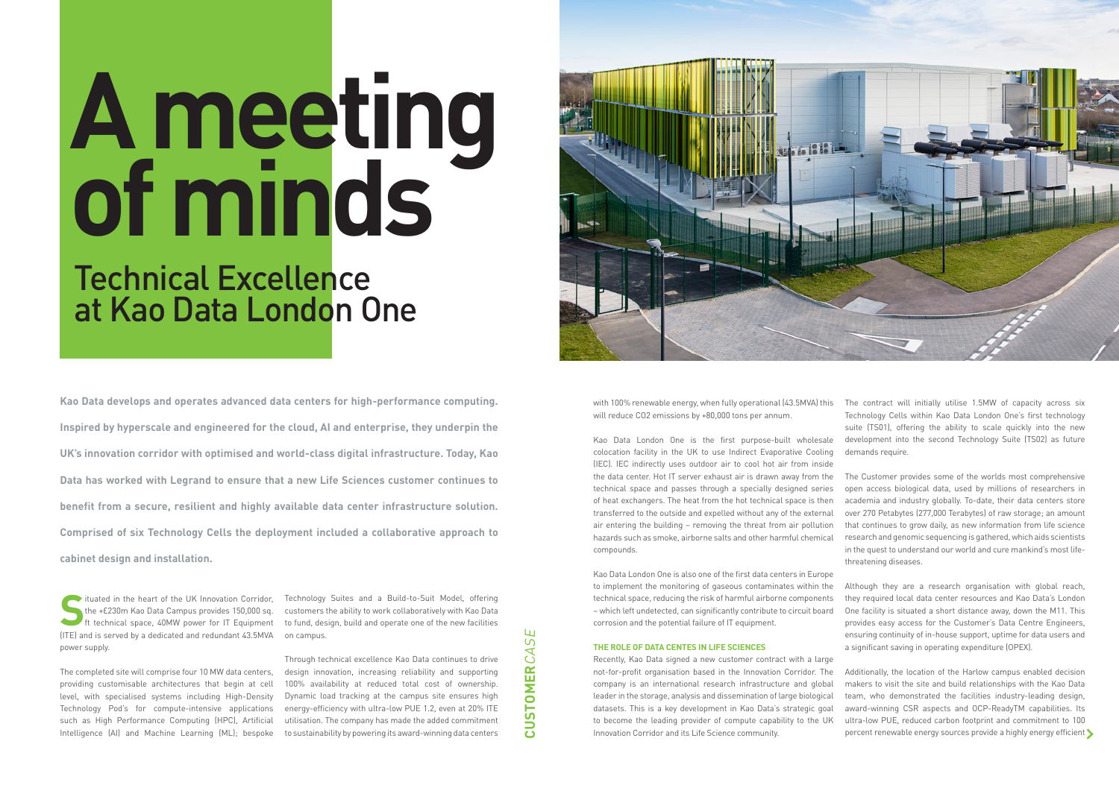**S**ituated in the heart of the UK Innovation Corridor,<br>the +£230m Kao Data Campus provides 150,000 sq.<br>ft technical space, 40MW power for IT Equipment the +£230m Kao Data Campus provides 150,000 sq. ft technical space, 40MW power for IT Equipment (ITE) and is served by a dedicated and redundant 43.5MVA power supply.

The completed site will comprise four 10 MW data centers, providing customisable architectures that begin at cell level, with specialised systems including High-Density Technology Pod's for compute-intensive applications such as High Performance Computing (HPC), Artificial Intelligence (AI) and Machine Learning (ML); bespoke

Technology Suites and a Build-to-Suit Model, offering customers the ability to work collaboratively with Kao Data to fund, design, build and operate one of the new facilities on campus.

Through technical excellence Kao Data continues to drive design innovation, increasing reliability and supporting 100% availability at reduced total cost of ownership. Dynamic load tracking at the campus site ensures high energy-efficiency with ultra-low PUE 1.2, even at 20% ITE utilisation. The company has made the added commitment to sustainability by powering its award-winning data centers Recently, Kao Data signed a new customer contract with a large not-for-profit organisation based in the Innovation Corridor. The company is an international research infrastructure and global leader in the storage, analysis and dissemination of large biological datasets. This is a key development in Kao Data's strategic goal to become the leading provider of compute capability to the UK Innovation Corridor and its Life Science community. Additionally, the location of the Harlow campus enabled decision makers to visit the site and build relationships with the Kao Data team, who demonstrated the facilities industry-leading design, award-winning CSR aspects and OCP-ReadyTM capabilities. Its ultra-low PUE, reduced carbon footprint and commitment to 100 percent renewable energy sources provide a highly energy efficient  $\blacktriangleright$ 



**Kao Data develops and operates advanced data centers for high-performance computing. Inspired by hyperscale and engineered for the cloud, AI and enterprise, they underpin the UK's innovation corridor with optimised and world-class digital infrastructure. Today, Kao Data has worked with Legrand to ensure that a new Life Sciences customer continues to benefit from a secure, resilient and highly available data center infrastructure solution. Comprised of six Technology Cells the deployment included a collaborative approach to cabinet design and installation.**

> Kao Data London One is also one of the first data centers in Europe to implement the monitoring of gaseous contaminates within the technical space, reducing the risk of harmful airborne components – which left undetected, can significantly contribute to circuit board corrosion and the potential failure of IT equipment.

with 100% renewable energy, when fully operational (43.5MVA) this will reduce CO2 emissions by +80,000 tons per annum. Kao Data London One is the first purpose-built wholesale The contract will initially utilise 1.5MW of capacity across six Technology Cells within Kao Data London One's first technology suite (TS01), offering the ability to scale quickly into the new development into the second Technology Suite (TS02) as future demands require.

#### **THE ROLE OF DATA CENTES IN LIFE SCIENCES**

colocation facility in the UK to use Indirect Evaporative Cooling (IEC). IEC indirectly uses outdoor air to cool hot air from inside the data center. Hot IT server exhaust air is drawn away from the technical space and passes through a specially designed series of heat exchangers. The heat from the hot technical space is then transferred to the outside and expelled without any of the external air entering the building – removing the threat from air pollution hazards such as smoke, airborne salts and other harmful chemical compounds. The Customer provides some of the worlds most comprehensive open access biological data, used by millions of researchers in academia and industry globally. To-date, their data centers store over 270 Petabytes (277,000 Terabytes) of raw storage; an amount that continues to grow daily, as new information from life science research and genomic sequencing is gathered, which aids scientists in the quest to understand our world and cure mankind's most lifethreatening diseases.

# **A meeting of minds**  Technical Excellence at Kao Data London One

Although they are a research organisation with global reach, they required local data center resources and Kao Data's London One facility is situated a short distance away, down the M11. This provides easy access for the Customer's Data Centre Engineers, ensuring continuity of in-house support, uptime for data users and a significant saving in operating expenditure (OPEX).

**CUSTOMER**

Σ **IO15**  $\Rightarrow$  $\overline{\bullet}$ 

**ERCASE**